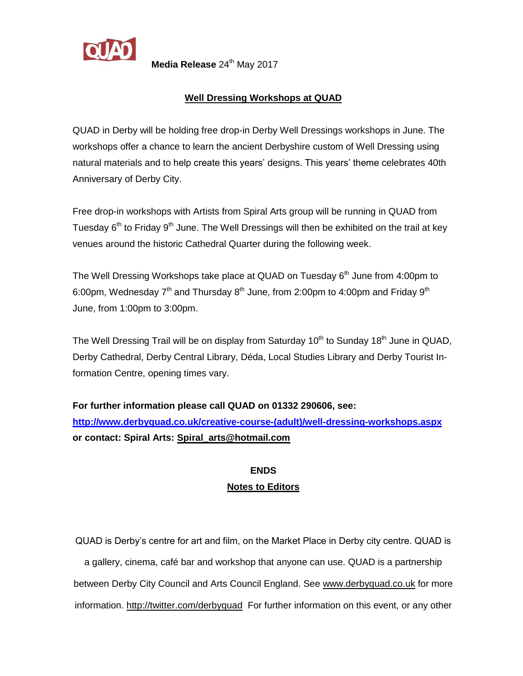

**Media Release** 24<sup>th</sup> May 2017

## **Well Dressing Workshops at QUAD**

QUAD in Derby will be holding free drop-in Derby Well Dressings workshops in June. The workshops offer a chance to learn the ancient Derbyshire custom of Well Dressing using natural materials and to help create this years' designs. This years' theme celebrates 40th Anniversary of Derby City.

Free drop-in workshops with Artists from Spiral Arts group will be running in QUAD from Tuesday  $6<sup>th</sup>$  to Friday 9<sup>th</sup> June. The Well Dressings will then be exhibited on the trail at key venues around the historic Cathedral Quarter during the following week.

The Well Dressing Workshops take place at QUAD on Tuesday  $6<sup>th</sup>$  June from 4:00pm to 6:00pm, Wednesday  $7<sup>th</sup>$  and Thursday  $8<sup>th</sup>$  June, from 2:00pm to 4:00pm and Friday  $9<sup>th</sup>$ June, from 1:00pm to 3:00pm.

The Well Dressing Trail will be on display from Saturday 10<sup>th</sup> to Sunday 18<sup>th</sup> June in QUAD, Derby Cathedral, Derby Central Library, Déda, Local Studies Library and Derby Tourist Information Centre, opening times vary.

**For further information please call QUAD on 01332 290606, see: [http://www.derbyquad.co.uk/creative-course-\(adult\)/well-dressing-workshops.aspx](http://www.derbyquad.co.uk/creative-course-(adult)/well-dressing-workshops.aspx) or contact: Spiral Arts: [Spiral\\_arts@hotmail.com](mailto:Spiral_arts@hotmail.com)**

## **ENDS Notes to Editors**

QUAD is Derby's centre for art and film, on the Market Place in Derby city centre. QUAD is a gallery, cinema, café bar and workshop that anyone can use. QUAD is a partnership between Derby City Council and Arts Council England. See [www.derbyquad.co.uk](http://www.derbyquad.co.uk/) for more information.<http://twitter.com/derbyquad> For further information on this event, or any other